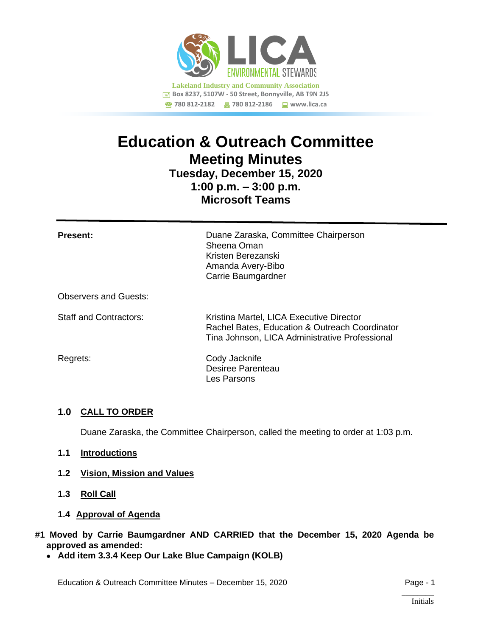

# **Education & Outreach Committee Meeting Minutes Tuesday, December 15, 2020 1:00 p.m. – 3:00 p.m. Microsoft Teams**

| <b>Present:</b>               | Duane Zaraska, Committee Chairperson<br>Sheena Oman<br>Kristen Berezanski<br>Amanda Avery-Bibo<br>Carrie Baumgardner                         |
|-------------------------------|----------------------------------------------------------------------------------------------------------------------------------------------|
| <b>Observers and Guests:</b>  |                                                                                                                                              |
| <b>Staff and Contractors:</b> | Kristina Martel, LICA Executive Director<br>Rachel Bates, Education & Outreach Coordinator<br>Tina Johnson, LICA Administrative Professional |
| Regrets:                      | Cody Jacknife<br>Desiree Parenteau<br>Les Parsons                                                                                            |

#### **1.0 CALL TO ORDER**

Duane Zaraska, the Committee Chairperson, called the meeting to order at 1:03 p.m.

- **1.1 Introductions**
- **1.2 Vision, Mission and Values**
- **1.3 Roll Call**
- **1.4 Approval of Agenda**

#### **#1 Moved by Carrie Baumgardner AND CARRIED that the December 15, 2020 Agenda be approved as amended:**

• **Add item 3.3.4 Keep Our Lake Blue Campaign (KOLB)**

Education & Outreach Committee Minutes – December 15, 2020 Page - 1

 $\overline{\phantom{a}}$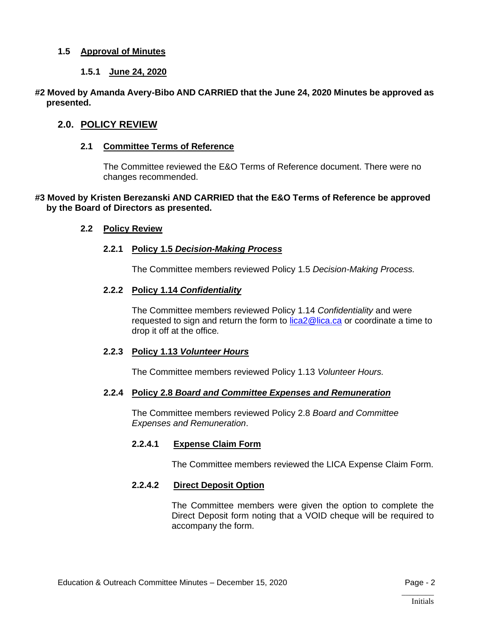## **1.5 Approval of Minutes**

## **1.5.1 June 24, 2020**

#### **#2 Moved by Amanda Avery-Bibo AND CARRIED that the June 24, 2020 Minutes be approved as presented.**

# **2.0. POLICY REVIEW**

#### **2.1 Committee Terms of Reference**

The Committee reviewed the E&O Terms of Reference document. There were no changes recommended.

#### **#3 Moved by Kristen Berezanski AND CARRIED that the E&O Terms of Reference be approved by the Board of Directors as presented.**

#### **2.2 Policy Review**

#### **2.2.1 Policy 1.5** *Decision-Making Process*

The Committee members reviewed Policy 1.5 *Decision-Making Process.*

#### **2.2.2 Policy 1.14** *Confidentiality*

The Committee members reviewed Policy 1.14 *Confidentiality* and were requested to sign and return the form to [lica2@lica.ca](mailto:lica2@lica.ca) or coordinate a time to drop it off at the office*.*

#### **2.2.3 Policy 1.13** *Volunteer Hours*

The Committee members reviewed Policy 1.13 *Volunteer Hours.*

#### **2.2.4 Policy 2.8** *Board and Committee Expenses and Remuneration*

The Committee members reviewed Policy 2.8 *Board and Committee Expenses and Remuneration*.

#### **2.2.4.1 Expense Claim Form**

The Committee members reviewed the LICA Expense Claim Form.

#### **2.2.4.2 Direct Deposit Option**

The Committee members were given the option to complete the Direct Deposit form noting that a VOID cheque will be required to accompany the form.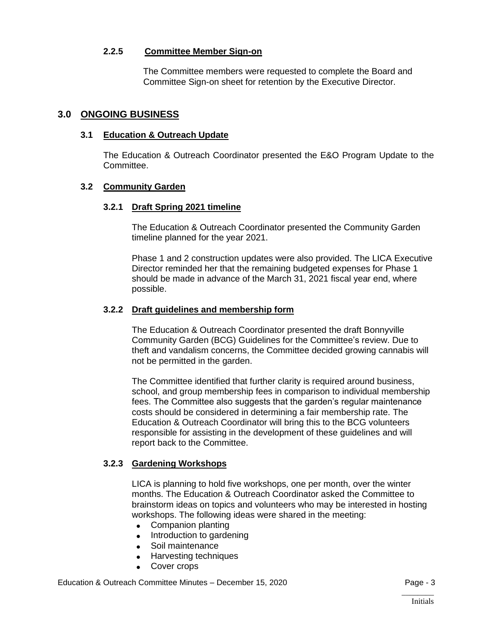#### **2.2.5 Committee Member Sign-on**

The Committee members were requested to complete the Board and Committee Sign-on sheet for retention by the Executive Director.

# **3.0 ONGOING BUSINESS**

#### **3.1 Education & Outreach Update**

The Education & Outreach Coordinator presented the E&O Program Update to the Committee.

#### **3.2 Community Garden**

#### **3.2.1 Draft Spring 2021 timeline**

The Education & Outreach Coordinator presented the Community Garden timeline planned for the year 2021.

Phase 1 and 2 construction updates were also provided. The LICA Executive Director reminded her that the remaining budgeted expenses for Phase 1 should be made in advance of the March 31, 2021 fiscal year end, where possible.

#### **3.2.2 Draft guidelines and membership form**

The Education & Outreach Coordinator presented the draft Bonnyville Community Garden (BCG) Guidelines for the Committee's review. Due to theft and vandalism concerns, the Committee decided growing cannabis will not be permitted in the garden.

The Committee identified that further clarity is required around business, school, and group membership fees in comparison to individual membership fees. The Committee also suggests that the garden's regular maintenance costs should be considered in determining a fair membership rate. The Education & Outreach Coordinator will bring this to the BCG volunteers responsible for assisting in the development of these guidelines and will report back to the Committee.

#### **3.2.3 Gardening Workshops**

LICA is planning to hold five workshops, one per month, over the winter months. The Education & Outreach Coordinator asked the Committee to brainstorm ideas on topics and volunteers who may be interested in hosting workshops. The following ideas were shared in the meeting:

- Companion planting
- Introduction to gardening
- Soil maintenance
- Harvesting techniques
- Cover crops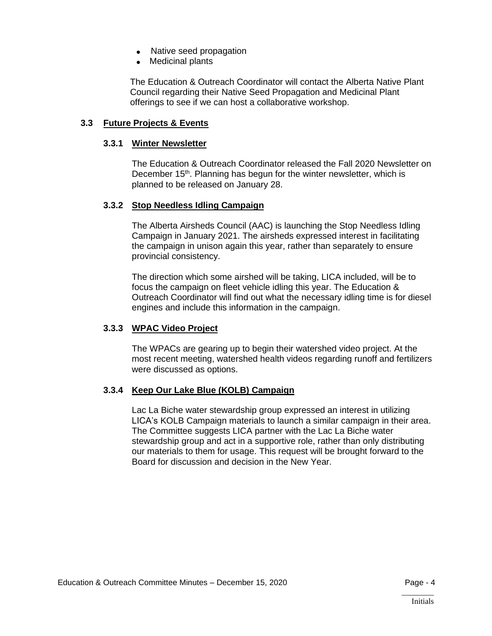- Native seed propagation
- Medicinal plants

The Education & Outreach Coordinator will contact the Alberta Native Plant Council regarding their Native Seed Propagation and Medicinal Plant offerings to see if we can host a collaborative workshop.

#### **3.3 Future Projects & Events**

#### **3.3.1 Winter Newsletter**

The Education & Outreach Coordinator released the Fall 2020 Newsletter on December 15<sup>th</sup>. Planning has begun for the winter newsletter, which is planned to be released on January 28.

#### **3.3.2 Stop Needless Idling Campaign**

The Alberta Airsheds Council (AAC) is launching the Stop Needless Idling Campaign in January 2021. The airsheds expressed interest in facilitating the campaign in unison again this year, rather than separately to ensure provincial consistency.

The direction which some airshed will be taking, LICA included, will be to focus the campaign on fleet vehicle idling this year. The Education & Outreach Coordinator will find out what the necessary idling time is for diesel engines and include this information in the campaign.

#### **3.3.3 WPAC Video Project**

The WPACs are gearing up to begin their watershed video project. At the most recent meeting, watershed health videos regarding runoff and fertilizers were discussed as options.

#### **3.3.4 Keep Our Lake Blue (KOLB) Campaign**

Lac La Biche water stewardship group expressed an interest in utilizing LICA's KOLB Campaign materials to launch a similar campaign in their area. The Committee suggests LICA partner with the Lac La Biche water stewardship group and act in a supportive role, rather than only distributing our materials to them for usage. This request will be brought forward to the Board for discussion and decision in the New Year.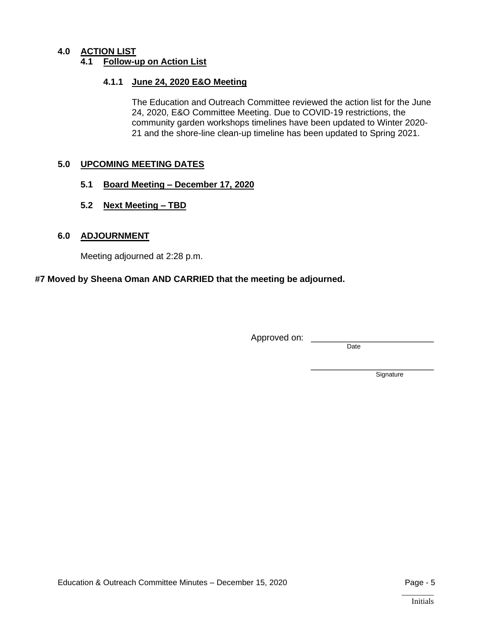#### **4.0 ACTION LIST 4.1 Follow-up on Action List**

## **4.1.1 June 24, 2020 E&O Meeting**

The Education and Outreach Committee reviewed the action list for the June 24, 2020, E&O Committee Meeting. Due to COVID-19 restrictions, the community garden workshops timelines have been updated to Winter 2020- 21 and the shore-line clean-up timeline has been updated to Spring 2021.

#### **5.0 UPCOMING MEETING DATES**

- **5.1 Board Meeting – December 17, 2020**
- **5.2 Next Meeting – TBD**

#### **6.0 ADJOURNMENT**

Meeting adjourned at 2:28 p.m.

#### **#7 Moved by Sheena Oman AND CARRIED that the meeting be adjourned.**

Approved on: \_\_\_\_\_\_\_

Date

\_\_\_\_\_\_\_\_\_\_\_\_\_\_\_\_\_\_\_\_\_\_\_\_\_ Signature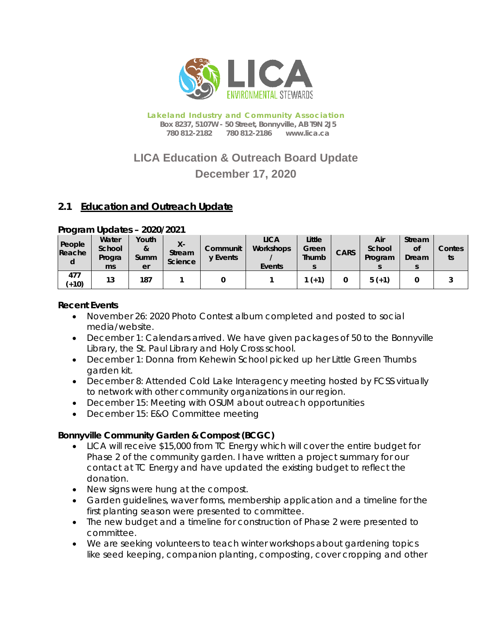

**Lakeland Industry and Community Association Box 8237, 5107W - 50 Street, Bonnyville, AB T9N 2J5 780 812-2182 780 812-2186 www.lica.ca** 

# **LICA Education & Outreach Board Update December 17, 2020**

# **2.1 Education and Outreach Update**

|                       | mogram upuutus<br>696976961      |                          |                                |                             |                                    |                                 |             |                          |                              |              |
|-----------------------|----------------------------------|--------------------------|--------------------------------|-----------------------------|------------------------------------|---------------------------------|-------------|--------------------------|------------------------------|--------------|
| People<br>Reache<br>d | Water<br>School<br>Progra<br>ms. | Youth<br>&<br>Summ<br>er | Х-<br><b>Stream</b><br>Science | Communit<br><b>v</b> Events | <b>LICA</b><br>Workshops<br>Events | Little<br>Green<br><b>Thumb</b> | <b>CARS</b> | Air<br>School<br>Program | Stream<br><b>of</b><br>Dream | Contes<br>ts |
| 477<br>$(+10)$        | 13                               | 187                      |                                |                             |                                    | $1 (+1)$                        |             | $5(+1)$                  |                              |              |

## **Program Updates – 2020/2021**

#### **Recent Events**

- November 26: 2020 Photo Contest album completed and posted to social media/website.
- December 1: Calendars arrived. We have given packages of 50 to the Bonnyville Library, the St. Paul Library and Holy Cross school.
- December 1: Donna from Kehewin School picked up her Little Green Thumbs garden kit.
- December 8: Attended Cold Lake Interagency meeting hosted by FCSS virtually to network with other community organizations in our region.
- December 15: Meeting with OSUM about outreach opportunities
- December 15: E&O Committee meeting

# **Bonnyville Community Garden & Compost (BCGC)**

- LICA will receive \$15,000 from TC Energy which will cover the entire budget for Phase 2 of the community garden. I have written a project summary for our contact at TC Energy and have updated the existing budget to reflect the donation.
- New signs were hung at the compost.
- Garden guidelines, waver forms, membership application and a timeline for the first planting season were presented to committee.
- The new budget and a timeline for construction of Phase 2 were presented to committee.
- We are seeking volunteers to teach winter workshops about gardening topics like seed keeping, companion planting, composting, cover cropping and other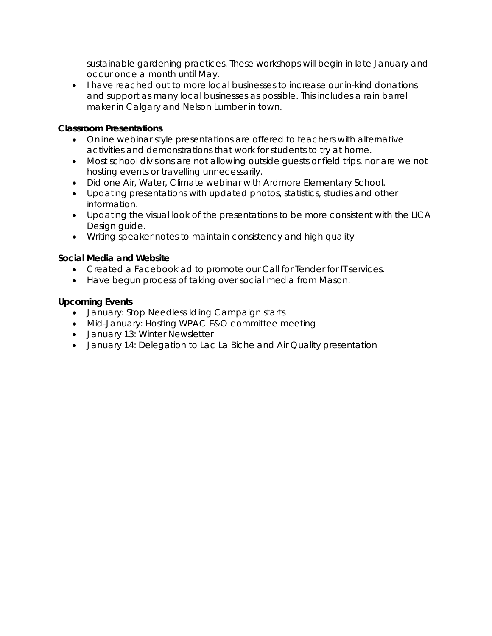sustainable gardening practices. These workshops will begin in late January and occur once a month until May.

• I have reached out to more local businesses to increase our in-kind donations and support as many local businesses as possible. This includes a rain barrel maker in Calgary and Nelson Lumber in town.

# **Classroom Presentations**

- Online webinar style presentations are offered to teachers with alternative activities and demonstrations that work for students to try at home.
- Most school divisions are not allowing outside guests or field trips, nor are we not hosting events or travelling unnecessarily.
- Did one Air, Water, Climate webinar with Ardmore Elementary School.
- Updating presentations with updated photos, statistics, studies and other information.
- Updating the visual look of the presentations to be more consistent with the LICA Design guide.
- Writing speaker notes to maintain consistency and high quality

## **Social Media and Website**

- Created a Facebook ad to promote our Call for Tender for IT services.
- Have begun process of taking over social media from Mason.

## **Upcoming Events**

- January: Stop Needless Idling Campaign starts
- Mid-January: Hosting WPAC E&O committee meeting
- January 13: Winter Newsletter
- January 14: Delegation to Lac La Biche and Air Quality presentation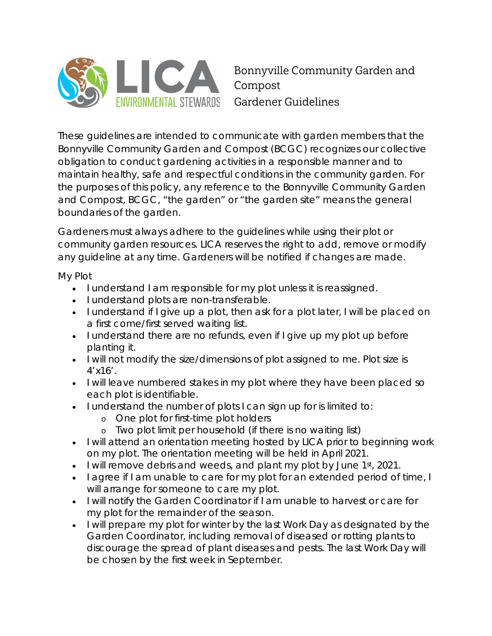

Bonnyville Community Garden and Compost Gardener Guidelines

These guidelines are intended to communicate with garden members that the Bonnyville Community Garden and Compost (BCGC) recognizes our collective obligation to conduct gardening activities in a responsible manner and to maintain healthy, safe and respectful conditions in the community garden. For the purposes of this policy, any reference to the Bonnyville Community Garden and Compost, BCGC, "the garden" or "the garden site" means the general boundaries of the garden.

Gardeners must always adhere to the guidelines while using their plot or community garden resources. LICA reserves the right to add, remove or modify any guideline at any time. Gardeners will be notified if changes are made.

My Plot

- I understand I am responsible for my plot unless it is reassigned.
- I understand plots are non-transferable.
- I understand if I give up a plot, then ask for a plot later, I will be placed on a first come/first served waiting list.
- I understand there are no refunds, even if I give up my plot up before planting it.
- I will not modify the size/dimensions of plot assigned to me. Plot size is 4'x16'.
- I will leave numbered stakes in my plot where they have been placed so each plot is identifiable.
- I understand the number of plots I can sign up for is limited to:
	- o One plot for first-time plot holders
	- o Two plot limit per household (if there is no waiting list)
- I will attend an orientation meeting hosted by LICA prior to beginning work on my plot. The orientation meeting will be held in April 2021.
- $\bullet$  I will remove debris and weeds, and plant my plot by June 1st, 2021.
- lagree if I am unable to care for my plot for an extended period of time, I will arrange for someone to care my plot.
- I will notify the Garden Coordinator if I am unable to harvest or care for my plot for the remainder of the season.
- I will prepare my plot for winter by the last Work Day as designated by the Garden Coordinator, including removal of diseased or rotting plants to discourage the spread of plant diseases and pests. The last Work Day will be chosen by the first week in September.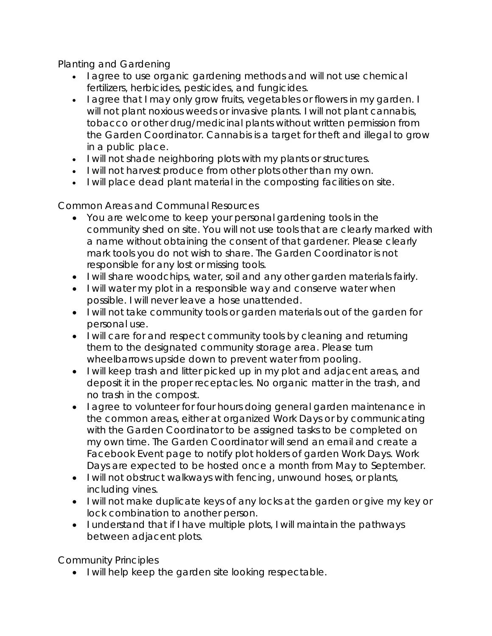Planting and Gardening

- I agree to use organic gardening methods and will not use chemical fertilizers, herbicides, pesticides, and fungicides.
- I agree that I may only grow fruits, vegetables or flowers in my garden. I will not plant noxious weeds or invasive plants. I will not plant cannabis, tobacco or other drug/medicinal plants without written permission from the Garden Coordinator. Cannabis is a target for theft and illegal to grow in a public place.
- I will not shade neighboring plots with my plants or structures.
- I will not harvest produce from other plots other than my own.
- I will place dead plant material in the composting facilities on site.

Common Areas and Communal Resources

- You are welcome to keep your personal gardening tools in the community shed on site. You will not use tools that are clearly marked with a name without obtaining the consent of that gardener. Please clearly mark tools you do not wish to share. The Garden Coordinator is not responsible for any lost or missing tools.
- I will share woodchips, water, soil and any other garden materials fairly.
- I will water my plot in a responsible way and conserve water when possible. I will never leave a hose unattended.
- I will not take community tools or garden materials out of the garden for personal use.
- I will care for and respect community tools by cleaning and returning them to the designated community storage area. Please turn wheelbarrows upside down to prevent water from pooling.
- I will keep trash and litter picked up in my plot and adjacent areas, and deposit it in the proper receptacles. No organic matter in the trash, and no trash in the compost.
- I agree to volunteer for four hours doing general garden maintenance in the common areas, either at organized Work Days or by communicating with the Garden Coordinator to be assigned tasks to be completed on my own time. The Garden Coordinator will send an email and create a Facebook Event page to notify plot holders of garden Work Days. Work Days are expected to be hosted once a month from May to September.
- I will not obstruct walkways with fencing, unwound hoses, or plants, including vines.
- I will not make duplicate keys of any locks at the garden or give my key or lock combination to another person.
- I understand that if I have multiple plots, I will maintain the pathways between adjacent plots.

Community Principles

• I will help keep the garden site looking respectable.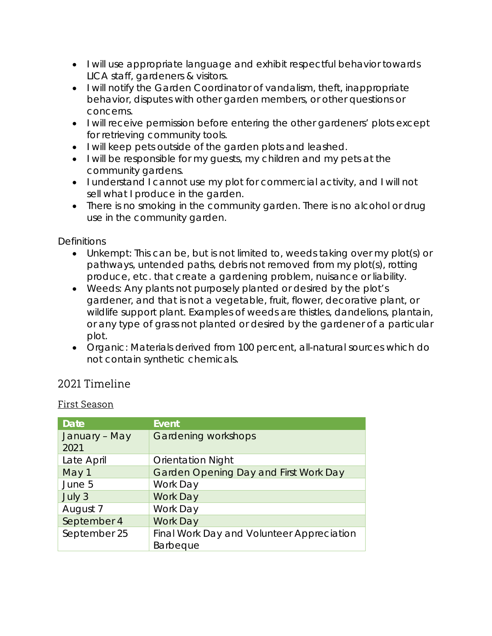- I will use appropriate language and exhibit respectful behavior towards LICA staff, gardeners & visitors.
- I will notify the Garden Coordinator of vandalism, theft, inappropriate behavior, disputes with other garden members, or other questions or concerns.
- I will receive permission before entering the other gardeners' plots except for retrieving community tools.
- I will keep pets outside of the garden plots and leashed.
- I will be responsible for my guests, my children and my pets at the community gardens.
- I understand I cannot use my plot for commercial activity, and I will not sell what I produce in the garden.
- There is no smoking in the community garden. There is no alcohol or drug use in the community garden.

**Definitions** 

- Unkempt: This can be, but is not limited to, weeds taking over my plot(s) or pathways, untended paths, debris not removed from my plot(s), rotting produce, etc. that create a gardening problem, nuisance or liability.
- Weeds: Any plants not purposely planted or desired by the plot's gardener, and that is not a vegetable, fruit, flower, decorative plant, or wildlife support plant. Examples of weeds are thistles, dandelions, plantain, or any type of grass not planted or desired by the gardener of a particular plot.
- Organic: Materials derived from 100 percent, all-natural sources which do not contain synthetic chemicals.

# 2021 Timeline

# First Season

| <b>Date</b>   | <b>Event</b>                                 |
|---------------|----------------------------------------------|
| January - May | Gardening workshops                          |
| 2021          |                                              |
| Late April    | <b>Orientation Night</b>                     |
| May 1         | <b>Garden Opening Day and First Work Day</b> |
| June 5        | Work Day                                     |
| July 3        | <b>Work Day</b>                              |
| August 7      | Work Day                                     |
| September 4   | <b>Work Day</b>                              |
| September 25  | Final Work Day and Volunteer Appreciation    |
|               | <b>Barbeque</b>                              |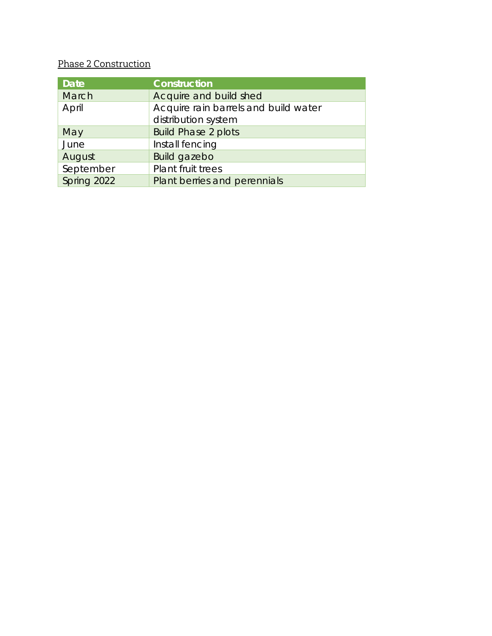# Phase 2 Construction

| <b>Date</b> | <b>Construction</b>                  |
|-------------|--------------------------------------|
| March       | Acquire and build shed               |
| April       | Acquire rain barrels and build water |
|             | distribution system                  |
| May         | <b>Build Phase 2 plots</b>           |
| June        | Install fencing                      |
| August      | Build gazebo                         |
| September   | Plant fruit trees                    |
| Spring 2022 | Plant berries and perennials         |